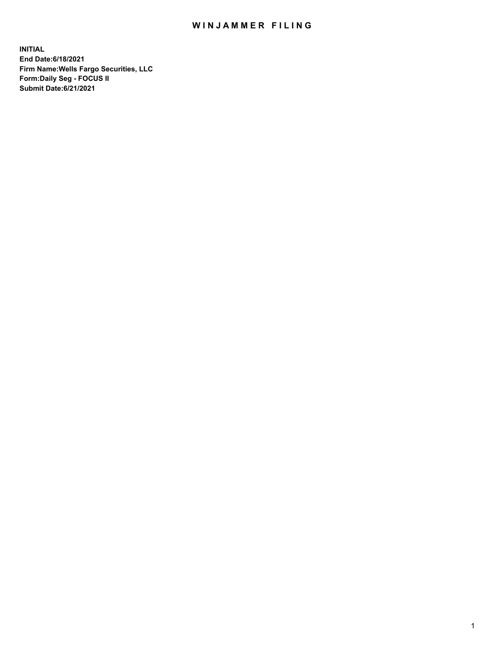## WIN JAMMER FILING

**INITIAL End Date:6/18/2021 Firm Name:Wells Fargo Securities, LLC Form:Daily Seg - FOCUS II Submit Date:6/21/2021**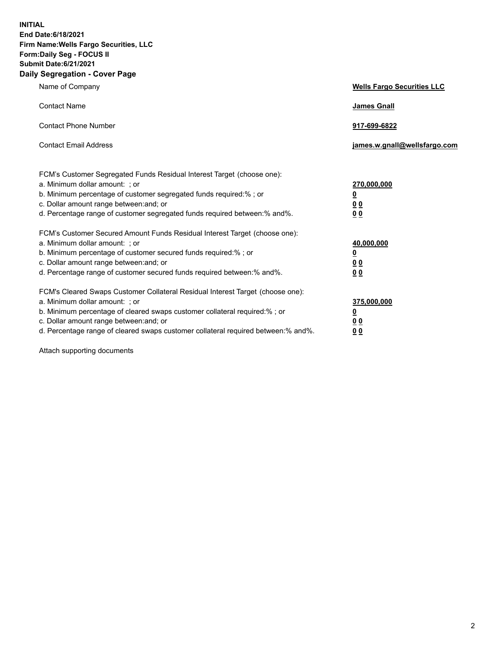**INITIAL End Date:6/18/2021 Firm Name:Wells Fargo Securities, LLC Form:Daily Seg - FOCUS II Submit Date:6/21/2021 Daily Segregation - Cover Page**

| Name of Company                                                                                                                                                                                                                                                                                                               | <b>Wells Fargo Securities LLC</b>                          |
|-------------------------------------------------------------------------------------------------------------------------------------------------------------------------------------------------------------------------------------------------------------------------------------------------------------------------------|------------------------------------------------------------|
| <b>Contact Name</b>                                                                                                                                                                                                                                                                                                           | <b>James Gnall</b>                                         |
| <b>Contact Phone Number</b>                                                                                                                                                                                                                                                                                                   | 917-699-6822                                               |
| <b>Contact Email Address</b>                                                                                                                                                                                                                                                                                                  | james.w.gnall@wellsfargo.com                               |
| FCM's Customer Segregated Funds Residual Interest Target (choose one):<br>a. Minimum dollar amount: ; or<br>b. Minimum percentage of customer segregated funds required:% ; or<br>c. Dollar amount range between: and; or<br>d. Percentage range of customer segregated funds required between:% and%.                        | 270,000,000<br><u>0</u><br>0 <sub>0</sub><br>00            |
| FCM's Customer Secured Amount Funds Residual Interest Target (choose one):<br>a. Minimum dollar amount: ; or<br>b. Minimum percentage of customer secured funds required:%; or<br>c. Dollar amount range between: and; or<br>d. Percentage range of customer secured funds required between: % and %.                         | 40,000,000<br><u>0</u><br>0 <sub>0</sub><br>0 <sub>0</sub> |
| FCM's Cleared Swaps Customer Collateral Residual Interest Target (choose one):<br>a. Minimum dollar amount: ; or<br>b. Minimum percentage of cleared swaps customer collateral required:%; or<br>c. Dollar amount range between: and; or<br>d. Percentage range of cleared swaps customer collateral required between:% and%. | 375,000,000<br><u>0</u><br>00<br>00                        |

Attach supporting documents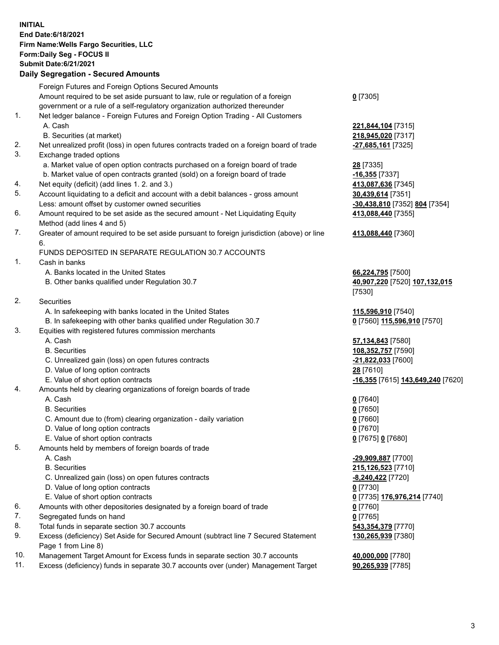**INITIAL End Date:6/18/2021 Firm Name:Wells Fargo Securities, LLC Form:Daily Seg - FOCUS II Submit Date:6/21/2021 Daily Segregation - Secured Amounts**

Foreign Futures and Foreign Options Secured Amounts Amount required to be set aside pursuant to law, rule or regulation of a foreign government or a rule of a self-regulatory organization authorized thereunder 1. Net ledger balance - Foreign Futures and Foreign Option Trading - All Customers A. Cash **221,844,104** [7315] B. Securities (at market) **218,945,020** [7317] 2. Net unrealized profit (loss) in open futures contracts traded on a foreign board of trade **-27,685,161** [7325] 3. Exchange traded options a. Market value of open option contracts purchased on a foreign board of trade **28** [7335] b. Market value of open contracts granted (sold) on a foreign board of trade **-16,355** [7337] 4. Net equity (deficit) (add lines 1. 2. and 3.) **413,087,636** [7345] 5. Account liquidating to a deficit and account with a debit balances - gross amount **30,439,614** [7351] Less: amount offset by customer owned securities **-30,438,810** [7352] **804** [7354] 6. Amount required to be set aside as the secured amount - Net Liquidating Equity Method (add lines 4 and 5) 7. Greater of amount required to be set aside pursuant to foreign jurisdiction (above) or line 6. FUNDS DEPOSITED IN SEPARATE REGULATION 30.7 ACCOUNTS 1. Cash in banks

- A. Banks located in the United States **66,224,795** [7500]
- B. Other banks qualified under Regulation 30.7 **40,907,220** [7520] **107,132,015**

2. Securities

- A. In safekeeping with banks located in the United States **115,596,910** [7540]
- B. In safekeeping with other banks qualified under Regulation 30.7 **0** [7560] **115,596,910** [7570]
- 3. Equities with registered futures commission merchants
	-
	-
	- C. Unrealized gain (loss) on open futures contracts **-21,822,033** [7600]
	- D. Value of long option contracts **28** [7610]
	-
- 4. Amounts held by clearing organizations of foreign boards of trade

## A. Cash **0** [7640]

- B. Securities **0** [7650]
- C. Amount due to (from) clearing organization daily variation **0** [7660]
- D. Value of long option contracts **0** [7670]
- E. Value of short option contracts **0** [7675] **0** [7680]
- 5. Amounts held by members of foreign boards of trade
	-
	-
	- C. Unrealized gain (loss) on open futures contracts **-8,240,422** [7720]
	- D. Value of long option contracts **0** [7730]
	- E. Value of short option contracts **0** [7735] **176,976,214** [7740]
- 6. Amounts with other depositories designated by a foreign board of trade **0** [7760]
- 7. Segregated funds on hand **0** [7765]
- 8. Total funds in separate section 30.7 accounts **543,354,379** [7770]
- 9. Excess (deficiency) Set Aside for Secured Amount (subtract line 7 Secured Statement Page 1 from Line 8)
- 10. Management Target Amount for Excess funds in separate section 30.7 accounts **40,000,000** [7780]
- 11. Excess (deficiency) funds in separate 30.7 accounts over (under) Management Target **90,265,939** [7785]

**0** [7305]

**413,088,440** [7355]

## **413,088,440** [7360]

[7530]

 A. Cash **57,134,843** [7580] B. Securities **108,352,757** [7590] E. Value of short option contracts **-16,355** [7615] **143,649,240** [7620]

 A. Cash **-29,909,887** [7700] B. Securities **215,126,523** [7710] **130,265,939** [7380]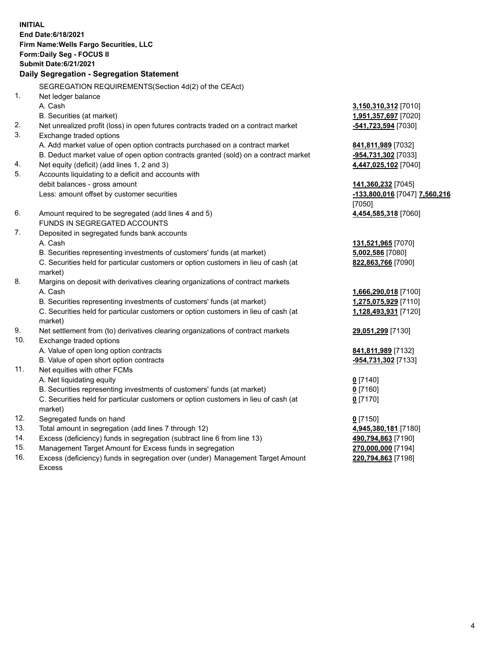**INITIAL End Date:6/18/2021 Firm Name:Wells Fargo Securities, LLC Form:Daily Seg - FOCUS II Submit Date:6/21/2021**

## **Daily Segregation - Segregation Statement**

SEGREGATION REQUIREMENTS(Section 4d(2) of the CEAct)

|     | SEGNEGATION NEQUINEMENTS(SEGION 40(2) OF THE CEAGO                                  |                               |
|-----|-------------------------------------------------------------------------------------|-------------------------------|
| 1.  | Net ledger balance                                                                  |                               |
|     | A. Cash                                                                             | 3,150,310,312 [7010]          |
|     | B. Securities (at market)                                                           | 1,951,357,697 [7020]          |
| 2.  | Net unrealized profit (loss) in open futures contracts traded on a contract market  | -541,723,594 [7030]           |
| 3.  | Exchange traded options                                                             |                               |
|     | A. Add market value of open option contracts purchased on a contract market         | 841,811,989 [7032]            |
|     | B. Deduct market value of open option contracts granted (sold) on a contract market | -954,731,302 [7033]           |
| 4.  | Net equity (deficit) (add lines 1, 2 and 3)                                         | 4,447,025,102 [7040]          |
| 5.  | Accounts liquidating to a deficit and accounts with                                 |                               |
|     | debit balances - gross amount                                                       | 141,360,232 [7045]            |
|     | Less: amount offset by customer securities                                          | -133,800,016 [7047] 7,560,216 |
|     |                                                                                     | [7050]                        |
| 6.  | Amount required to be segregated (add lines 4 and 5)                                | 4,454,585,318 [7060]          |
|     | FUNDS IN SEGREGATED ACCOUNTS                                                        |                               |
| 7.  | Deposited in segregated funds bank accounts                                         |                               |
|     | A. Cash                                                                             | 131,521,965 [7070]            |
|     | B. Securities representing investments of customers' funds (at market)              | 5,002,586 [7080]              |
|     | C. Securities held for particular customers or option customers in lieu of cash (at | 822,863,766 [7090]            |
|     | market)                                                                             |                               |
| 8.  | Margins on deposit with derivatives clearing organizations of contract markets      |                               |
|     | A. Cash                                                                             | 1,666,290,018 [7100]          |
|     | B. Securities representing investments of customers' funds (at market)              | 1,275,075,929 [7110]          |
|     | C. Securities held for particular customers or option customers in lieu of cash (at | 1,128,493,931 [7120]          |
|     | market)                                                                             |                               |
| 9.  | Net settlement from (to) derivatives clearing organizations of contract markets     | 29,051,299 [7130]             |
| 10. | Exchange traded options                                                             |                               |
|     | A. Value of open long option contracts                                              | 841,811,989 [7132]            |
|     | B. Value of open short option contracts                                             | -954,731,302 [7133]           |
| 11. | Net equities with other FCMs                                                        |                               |
|     | A. Net liquidating equity                                                           | $0$ [7140]                    |
|     | B. Securities representing investments of customers' funds (at market)              | $0$ [7160]                    |
|     | C. Securities held for particular customers or option customers in lieu of cash (at | $0$ [7170]                    |
|     | market)                                                                             |                               |
| 12. | Segregated funds on hand                                                            | $0$ [7150]                    |
| 13. | Total amount in segregation (add lines 7 through 12)                                | 4,945,380,181 [7180]          |
| 14. | Excess (deficiency) funds in segregation (subtract line 6 from line 13)             | 490,794,863 [7190]            |
| 15. | Management Target Amount for Excess funds in segregation                            | 270,000,000 [7194]            |
| 16. | Excess (deficiency) funds in segregation over (under) Management Target Amount      | 220,794,863 [7198]            |
|     | Excess                                                                              |                               |